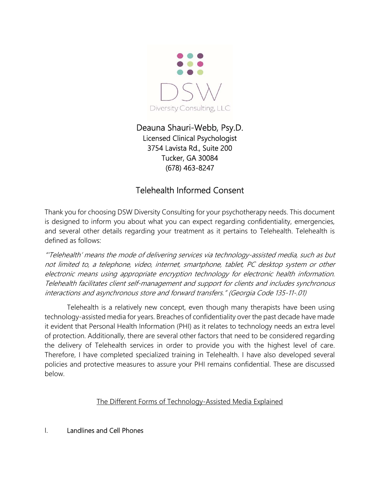

# Deauna Shauri-Webb, Psy.D. Licensed Clinical Psychologist 3754 Lavista Rd., Suite 200 Tucker, GA 30084 (678) 463-8247

# Telehealth Informed Consent

Thank you for choosing DSW Diversity Consulting for your psychotherapy needs. This document is designed to inform you about what you can expect regarding confidentiality, emergencies, and several other details regarding your treatment as it pertains to Telehealth. Telehealth is defined as follows:

"'Telehealth' means the mode of delivering services via technology-assisted media, such as but not limited to, a telephone, video, internet, smartphone, tablet, PC desktop system or other electronic means using appropriate encryption technology for electronic health information. Telehealth facilitates client self-management and support for clients and includes synchronous interactions and asynchronous store and forward transfers." (Georgia Code 135-11-.01)

Telehealth is a relatively new concept, even though many therapists have been using technology-assisted media for years. Breaches of confidentiality over the past decade have made it evident that Personal Health Information (PHI) as it relates to technology needs an extra level of protection. Additionally, there are several other factors that need to be considered regarding the delivery of Telehealth services in order to provide you with the highest level of care. Therefore, I have completed specialized training in Telehealth. I have also developed several policies and protective measures to assure your PHI remains confidential. These are discussed below.

# The Different Forms of Technology-Assisted Media Explained

# I. Landlines and Cell Phones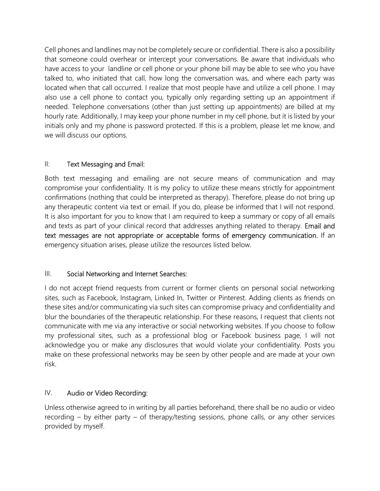Cell phones and landlines may not be completely secure or confidential. There is also a possibility that someone could overhear or intercept your conversations. Be aware that individuals who have access to your landline or cell phone or your phone bill may be able to see who you have talked to, who initiated that call, how long the conversation was, and where each party was located when that call occurred. I realize that most people have and utilize a cell phone. I may also use a cell phone to contact you, typically only regarding setting up an appointment if needed. Telephone conversations (other than just setting up appointments) are billed at my hourly rate. Additionally, I may keep your phone number in my cell phone, but it is listed by your initials only and my phone is password protected. If this is a problem, please let me know, and we will discuss our options.

# II: Text Messaging and Email:

Both text messaging and emailing are not secure means of communication and may compromise your confidentiality. It is my policy to utilize these means strictly for appointment confirmations (nothing that could be interpreted as therapy). Therefore, please do not bring up any therapeutic content via text or email. If you do, please be informed that I will not respond. It is also important for you to know that I am required to keep a summary or copy of all emails and texts as part of your clinical record that addresses anything related to therapy. Email and text messages are not appropriate or acceptable forms of emergency communication. If an emergency situation arises, please utilize the resources listed below.

# III. Social Networking and Internet Searches:

I do not accept friend requests from current or former clients on personal social networking sites, such as Facebook, Instagram, Linked In, Twitter or Pinterest. Adding clients as friends on these sites and/or communicating via such sites can compromise privacy and confidentiality and blur the boundaries of the therapeutic relationship. For these reasons, I request that clients not communicate with me via any interactive or social networking websites. If you choose to follow my professional sites, such as a professional blog or Facebook business page, I will not acknowledge you or make any disclosures that would violate your confidentiality. Posts you make on these professional networks may be seen by other people and are made at your own risk.

# IV. Audio or Video Recording:

Unless otherwise agreed to in writing by all parties beforehand, there shall be no audio or video recording – by either party – of therapy/testing sessions, phone calls, or any other services provided by myself.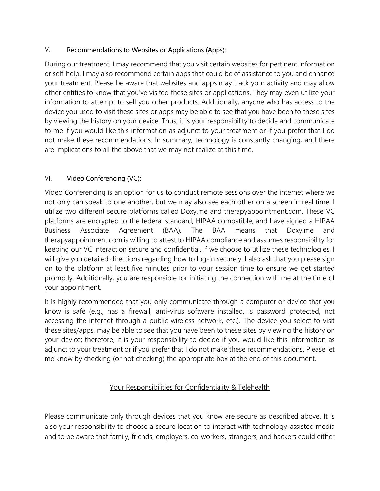# V. Recommendations to Websites or Applications (Apps):

During our treatment, I may recommend that you visit certain websites for pertinent information or self-help. I may also recommend certain apps that could be of assistance to you and enhance your treatment. Please be aware that websites and apps may track your activity and may allow other entities to know that you've visited these sites or applications. They may even utilize your information to attempt to sell you other products. Additionally, anyone who has access to the device you used to visit these sites or apps may be able to see that you have been to these sites by viewing the history on your device. Thus, it is your responsibility to decide and communicate to me if you would like this information as adjunct to your treatment or if you prefer that I do not make these recommendations. In summary, technology is constantly changing, and there are implications to all the above that we may not realize at this time.

# VI. Video Conferencing (VC):

Video Conferencing is an option for us to conduct remote sessions over the internet where we not only can speak to one another, but we may also see each other on a screen in real time. I utilize two different secure platforms called Doxy.me and therapyappointment.com. These VC platforms are encrypted to the federal standard, HIPAA compatible, and have signed a HIPAA Business Associate Agreement (BAA). The BAA means that Doxy.me and therapyappointment.com is willing to attest to HIPAA compliance and assumes responsibility for keeping our VC interaction secure and confidential. If we choose to utilize these technologies, I will give you detailed directions regarding how to log-in securely. I also ask that you please sign on to the platform at least five minutes prior to your session time to ensure we get started promptly. Additionally, you are responsible for initiating the connection with me at the time of your appointment.

It is highly recommended that you only communicate through a computer or device that you know is safe (e.g., has a firewall, anti-virus software installed, is password protected, not accessing the internet through a public wireless network, etc.). The device you select to visit these sites/apps, may be able to see that you have been to these sites by viewing the history on your device; therefore, it is your responsibility to decide if you would like this information as adjunct to your treatment or if you prefer that I do not make these recommendations. Please let me know by checking (or not checking) the appropriate box at the end of this document.

# Your Responsibilities for Confidentiality & Telehealth

Please communicate only through devices that you know are secure as described above. It is also your responsibility to choose a secure location to interact with technology-assisted media and to be aware that family, friends, employers, co-workers, strangers, and hackers could either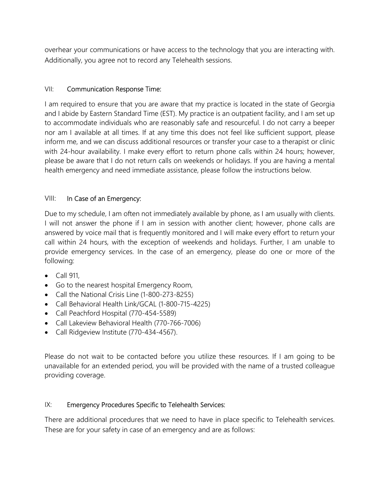overhear your communications or have access to the technology that you are interacting with. Additionally, you agree not to record any Telehealth sessions.

#### VII: Communication Response Time:

I am required to ensure that you are aware that my practice is located in the state of Georgia and I abide by Eastern Standard Time (EST). My practice is an outpatient facility, and I am set up to accommodate individuals who are reasonably safe and resourceful. I do not carry a beeper nor am I available at all times. If at any time this does not feel like sufficient support, please inform me, and we can discuss additional resources or transfer your case to a therapist or clinic with 24-hour availability. I make every effort to return phone calls within 24 hours; however, please be aware that I do not return calls on weekends or holidays. If you are having a mental health emergency and need immediate assistance, please follow the instructions below.

#### VIII: In Case of an Emergency:

Due to my schedule, I am often not immediately available by phone, as I am usually with clients. I will not answer the phone if I am in session with another client; however, phone calls are answered by voice mail that is frequently monitored and I will make every effort to return your call within 24 hours, with the exception of weekends and holidays. Further, I am unable to provide emergency services. In the case of an emergency, please do one or more of the following:

- $\bullet$  Call 911,
- Go to the nearest hospital Emergency Room,
- Call the National Crisis Line (1-800-273-8255)
- Call Behavioral Health Link/GCAL (1-800-715-4225)
- Call Peachford Hospital (770-454-5589)
- Call Lakeview Behavioral Health (770-766-7006)
- Call Ridgeview Institute (770-434-4567).

Please do not wait to be contacted before you utilize these resources. If I am going to be unavailable for an extended period, you will be provided with the name of a trusted colleague providing coverage.

#### IX: Emergency Procedures Specific to Telehealth Services:

There are additional procedures that we need to have in place specific to Telehealth services. These are for your safety in case of an emergency and are as follows: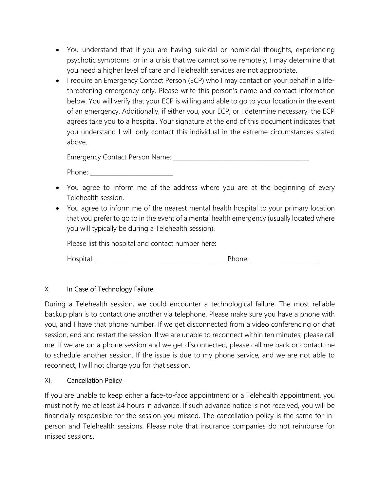- You understand that if you are having suicidal or homicidal thoughts, experiencing psychotic symptoms, or in a crisis that we cannot solve remotely, I may determine that you need a higher level of care and Telehealth services are not appropriate.
- I require an Emergency Contact Person (ECP) who I may contact on your behalf in a lifethreatening emergency only. Please write this person's name and contact information below. You will verify that your ECP is willing and able to go to your location in the event of an emergency. Additionally, if either you, your ECP, or I determine necessary, the ECP agrees take you to a hospital. Your signature at the end of this document indicates that you understand I will only contact this individual in the extreme circumstances stated above.

Emergency Contact Person Name: \_\_\_\_\_\_\_\_\_\_\_\_\_\_\_\_\_\_\_\_\_\_\_\_\_\_\_\_\_\_\_\_\_\_\_\_\_\_\_\_\_\_\_\_\_\_

Phone:  $\blacksquare$ 

- You agree to inform me of the address where you are at the beginning of every Telehealth session.
- You agree to inform me of the nearest mental health hospital to your primary location that you prefer to go to in the event of a mental health emergency (usually located where you will typically be during a Telehealth session).

Please list this hospital and contact number here:

Hospital: \_\_\_\_\_\_\_\_\_\_\_\_\_\_\_\_\_\_\_\_\_\_\_\_\_\_\_\_\_\_\_\_\_\_\_\_\_\_\_\_\_\_\_\_ Phone: \_\_\_\_\_\_\_\_\_\_\_\_\_\_\_\_\_\_\_\_\_\_\_

# X. In Case of Technology Failure

During a Telehealth session, we could encounter a technological failure. The most reliable backup plan is to contact one another via telephone. Please make sure you have a phone with you, and I have that phone number. If we get disconnected from a video conferencing or chat session, end and restart the session. If we are unable to reconnect within ten minutes, please call me. If we are on a phone session and we get disconnected, please call me back or contact me to schedule another session. If the issue is due to my phone service, and we are not able to reconnect, I will not charge you for that session.

# XI. Cancellation Policy

If you are unable to keep either a face-to-face appointment or a Telehealth appointment, you must notify me at least 24 hours in advance. If such advance notice is not received, you will be financially responsible for the session you missed. The cancellation policy is the same for inperson and Telehealth sessions. Please note that insurance companies do not reimburse for missed sessions.